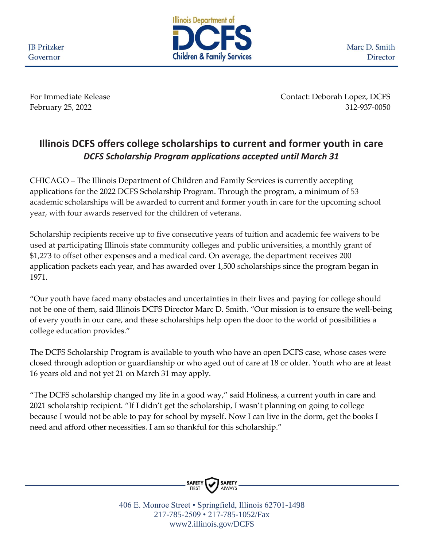**JB** Pritzker Governor



Marc D. Smith Director

For Immediate Release Contact: Deborah Lopez, DCFS February 25, 2022 312-937-0050

## **Illinois DCFS offers college scholarships to current and former youth in care** *DCFS Scholarship Program applications accepted until March 31*

CHICAGO – The Illinois Department of Children and Family Services is currently accepting applications for the 2022 DCFS Scholarship Program. Through the program, a minimum of 53 academic scholarships will be awarded to current and former youth in care for the upcoming school year, with four awards reserved for the children of veterans.

Scholarship recipients receive up to five consecutive years of tuition and academic fee waivers to be used at participating Illinois state community colleges and public universities, a monthly grant of \$1,273 to offset other expenses and a medical card. On average, the department receives 200 application packets each year, and has awarded over 1,500 scholarships since the program began in 1971.

"Our youth have faced many obstacles and uncertainties in their lives and paying for college should not be one of them, said Illinois DCFS Director Marc D. Smith. "Our mission is to ensure the well-being of every youth in our care, and these scholarships help open the door to the world of possibilities a college education provides."

The DCFS Scholarship Program is available to youth who have an open DCFS case, whose cases were closed through adoption or guardianship or who aged out of care at 18 or older. Youth who are at least 16 years old and not yet 21 on March 31 may apply.

"The DCFS scholarship changed my life in a good way," said Holiness, a current youth in care and 2021 scholarship recipient. "If I didn't get the scholarship, I wasn't planning on going to college because I would not be able to pay for school by myself. Now I can live in the dorm, get the books I need and afford other necessities. I am so thankful for this scholarship."



406 E. Monroe Street • Springfield, Illinois 62701-1498 217-785-2509 • 217-785-1052/Fax www2.illinois.gov/DCFS